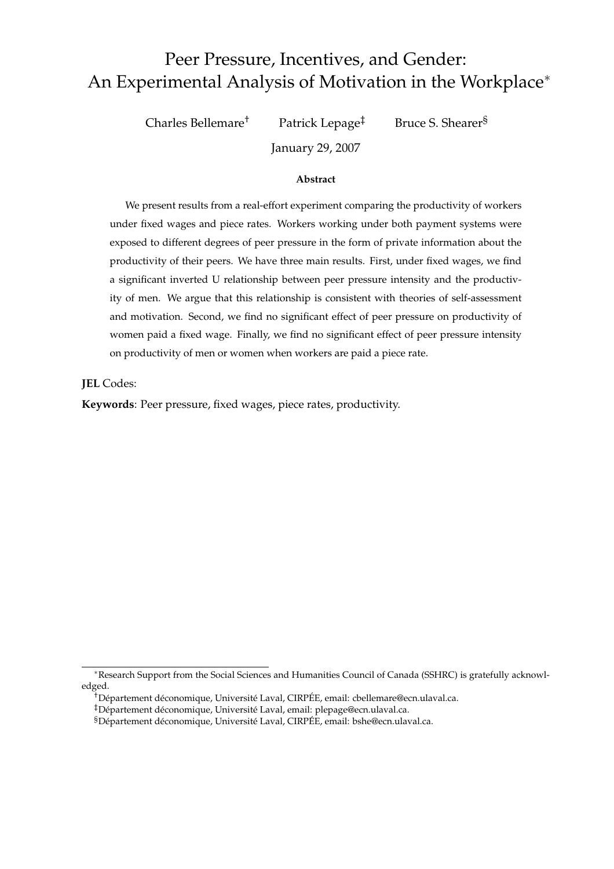# Peer Pressure, Incentives, and Gender: An Experimental Analysis of Motivation in the Workplace<sup>∗</sup>

Charles Bellemare† Patrick Lepage‡ Bruce S. Shearer§

January 29, 2007

#### **Abstract**

We present results from a real-effort experiment comparing the productivity of workers under fixed wages and piece rates. Workers working under both payment systems were exposed to different degrees of peer pressure in the form of private information about the productivity of their peers. We have three main results. First, under fixed wages, we find a significant inverted U relationship between peer pressure intensity and the productivity of men. We argue that this relationship is consistent with theories of self-assessment and motivation. Second, we find no significant effect of peer pressure on productivity of women paid a fixed wage. Finally, we find no significant effect of peer pressure intensity on productivity of men or women when workers are paid a piece rate.

**JEL** Codes:

**Keywords**: Peer pressure, fixed wages, piece rates, productivity.

<sup>∗</sup>Research Support from the Social Sciences and Humanities Council of Canada (SSHRC) is gratefully acknowledged.

<sup>&</sup>lt;sup>†</sup>Département déconomique, Université Laval, CIRPÉE, email: cbellemare@ecn.ulaval.ca.

<sup>&</sup>lt;sup>‡</sup>Département déconomique, Université Laval, email: plepage@ecn.ulaval.ca.

<sup>§</sup>Département déconomique, Université Laval, CIRPÉE, email: bshe@ecn.ulaval.ca.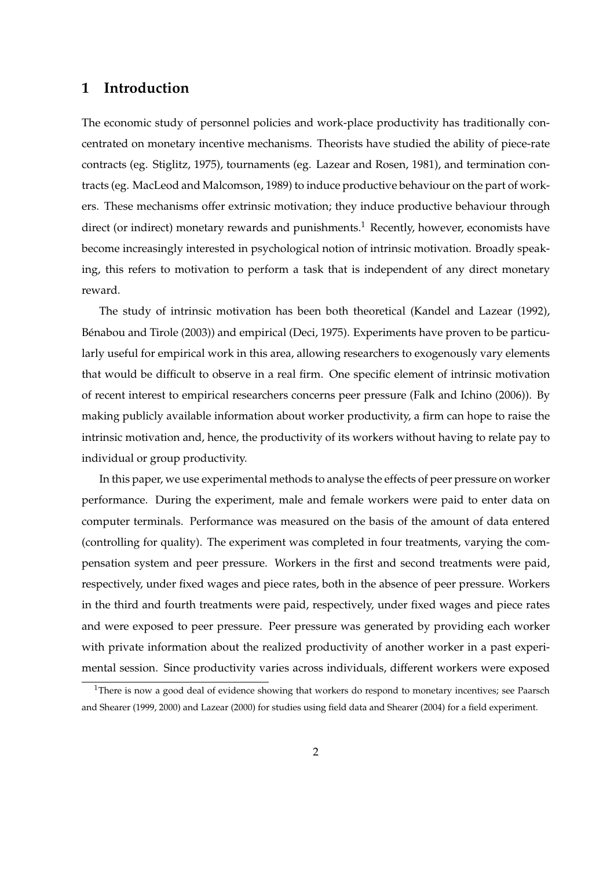## **1 Introduction**

The economic study of personnel policies and work-place productivity has traditionally concentrated on monetary incentive mechanisms. Theorists have studied the ability of piece-rate contracts (eg. Stiglitz, 1975), tournaments (eg. Lazear and Rosen, 1981), and termination contracts (eg. MacLeod and Malcomson, 1989) to induce productive behaviour on the part of workers. These mechanisms offer extrinsic motivation; they induce productive behaviour through direct (or indirect) monetary rewards and punishments.<sup>1</sup> Recently, however, economists have become increasingly interested in psychological notion of intrinsic motivation. Broadly speaking, this refers to motivation to perform a task that is independent of any direct monetary reward.

The study of intrinsic motivation has been both theoretical (Kandel and Lazear (1992), Bénabou and Tirole (2003)) and empirical (Deci, 1975). Experiments have proven to be particularly useful for empirical work in this area, allowing researchers to exogenously vary elements that would be difficult to observe in a real firm. One specific element of intrinsic motivation of recent interest to empirical researchers concerns peer pressure (Falk and Ichino (2006)). By making publicly available information about worker productivity, a firm can hope to raise the intrinsic motivation and, hence, the productivity of its workers without having to relate pay to individual or group productivity.

In this paper, we use experimental methods to analyse the effects of peer pressure on worker performance. During the experiment, male and female workers were paid to enter data on computer terminals. Performance was measured on the basis of the amount of data entered (controlling for quality). The experiment was completed in four treatments, varying the compensation system and peer pressure. Workers in the first and second treatments were paid, respectively, under fixed wages and piece rates, both in the absence of peer pressure. Workers in the third and fourth treatments were paid, respectively, under fixed wages and piece rates and were exposed to peer pressure. Peer pressure was generated by providing each worker with private information about the realized productivity of another worker in a past experimental session. Since productivity varies across individuals, different workers were exposed

<sup>&</sup>lt;sup>1</sup>There is now a good deal of evidence showing that workers do respond to monetary incentives; see Paarsch and Shearer (1999, 2000) and Lazear (2000) for studies using field data and Shearer (2004) for a field experiment.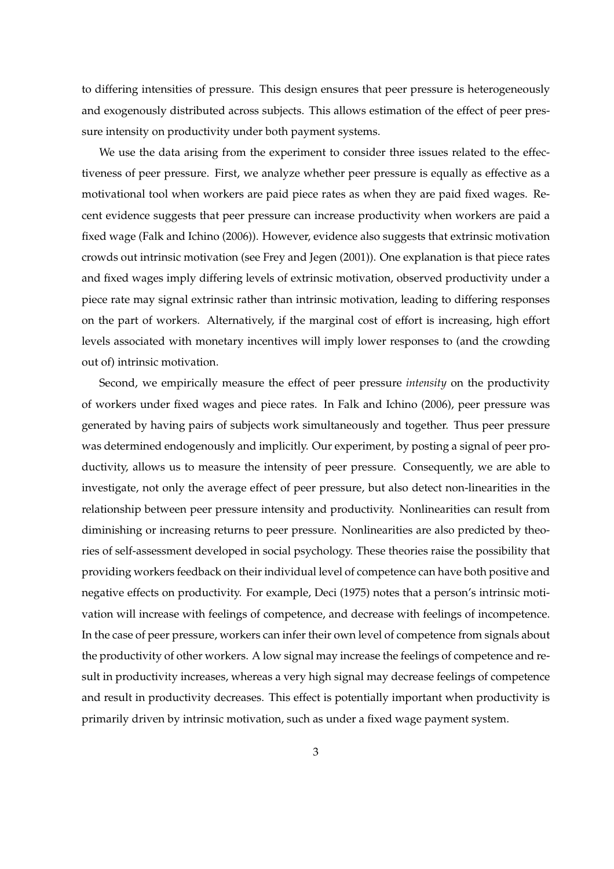to differing intensities of pressure. This design ensures that peer pressure is heterogeneously and exogenously distributed across subjects. This allows estimation of the effect of peer pressure intensity on productivity under both payment systems.

We use the data arising from the experiment to consider three issues related to the effectiveness of peer pressure. First, we analyze whether peer pressure is equally as effective as a motivational tool when workers are paid piece rates as when they are paid fixed wages. Recent evidence suggests that peer pressure can increase productivity when workers are paid a fixed wage (Falk and Ichino (2006)). However, evidence also suggests that extrinsic motivation crowds out intrinsic motivation (see Frey and Jegen (2001)). One explanation is that piece rates and fixed wages imply differing levels of extrinsic motivation, observed productivity under a piece rate may signal extrinsic rather than intrinsic motivation, leading to differing responses on the part of workers. Alternatively, if the marginal cost of effort is increasing, high effort levels associated with monetary incentives will imply lower responses to (and the crowding out of) intrinsic motivation.

Second, we empirically measure the effect of peer pressure *intensity* on the productivity of workers under fixed wages and piece rates. In Falk and Ichino (2006), peer pressure was generated by having pairs of subjects work simultaneously and together. Thus peer pressure was determined endogenously and implicitly. Our experiment, by posting a signal of peer productivity, allows us to measure the intensity of peer pressure. Consequently, we are able to investigate, not only the average effect of peer pressure, but also detect non-linearities in the relationship between peer pressure intensity and productivity. Nonlinearities can result from diminishing or increasing returns to peer pressure. Nonlinearities are also predicted by theories of self-assessment developed in social psychology. These theories raise the possibility that providing workers feedback on their individual level of competence can have both positive and negative effects on productivity. For example, Deci (1975) notes that a person's intrinsic motivation will increase with feelings of competence, and decrease with feelings of incompetence. In the case of peer pressure, workers can infer their own level of competence from signals about the productivity of other workers. A low signal may increase the feelings of competence and result in productivity increases, whereas a very high signal may decrease feelings of competence and result in productivity decreases. This effect is potentially important when productivity is primarily driven by intrinsic motivation, such as under a fixed wage payment system.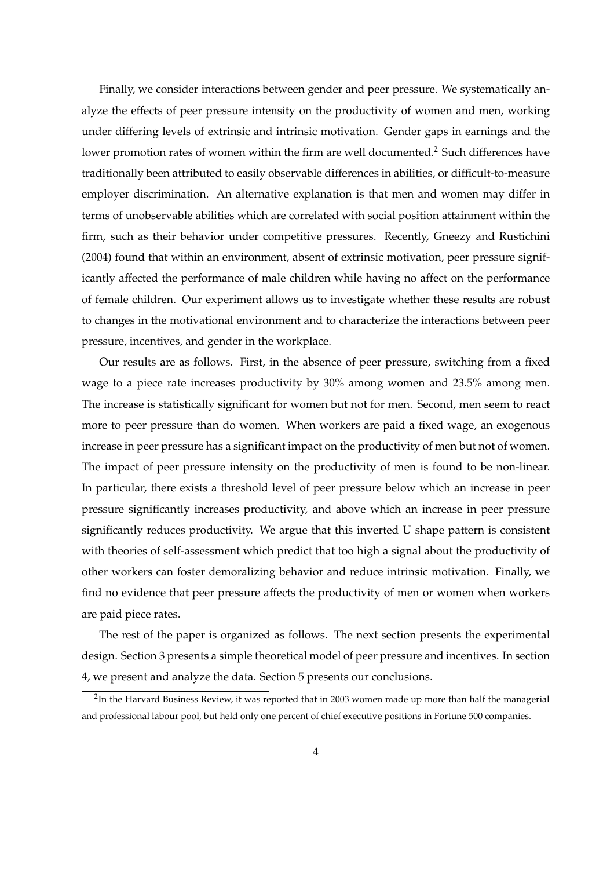Finally, we consider interactions between gender and peer pressure. We systematically analyze the effects of peer pressure intensity on the productivity of women and men, working under differing levels of extrinsic and intrinsic motivation. Gender gaps in earnings and the lower promotion rates of women within the firm are well documented.<sup>2</sup> Such differences have traditionally been attributed to easily observable differences in abilities, or difficult-to-measure employer discrimination. An alternative explanation is that men and women may differ in terms of unobservable abilities which are correlated with social position attainment within the firm, such as their behavior under competitive pressures. Recently, Gneezy and Rustichini (2004) found that within an environment, absent of extrinsic motivation, peer pressure significantly affected the performance of male children while having no affect on the performance of female children. Our experiment allows us to investigate whether these results are robust to changes in the motivational environment and to characterize the interactions between peer pressure, incentives, and gender in the workplace.

Our results are as follows. First, in the absence of peer pressure, switching from a fixed wage to a piece rate increases productivity by 30% among women and 23.5% among men. The increase is statistically significant for women but not for men. Second, men seem to react more to peer pressure than do women. When workers are paid a fixed wage, an exogenous increase in peer pressure has a significant impact on the productivity of men but not of women. The impact of peer pressure intensity on the productivity of men is found to be non-linear. In particular, there exists a threshold level of peer pressure below which an increase in peer pressure significantly increases productivity, and above which an increase in peer pressure significantly reduces productivity. We argue that this inverted U shape pattern is consistent with theories of self-assessment which predict that too high a signal about the productivity of other workers can foster demoralizing behavior and reduce intrinsic motivation. Finally, we find no evidence that peer pressure affects the productivity of men or women when workers are paid piece rates.

The rest of the paper is organized as follows. The next section presents the experimental design. Section 3 presents a simple theoretical model of peer pressure and incentives. In section 4, we present and analyze the data. Section 5 presents our conclusions.

<sup>&</sup>lt;sup>2</sup>In the Harvard Business Review, it was reported that in 2003 women made up more than half the managerial and professional labour pool, but held only one percent of chief executive positions in Fortune 500 companies.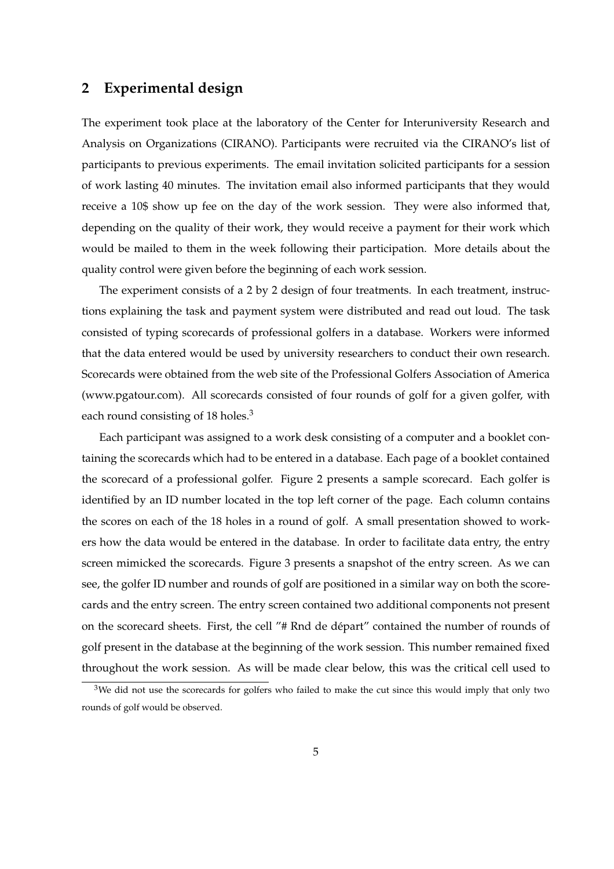# **2 Experimental design**

The experiment took place at the laboratory of the Center for Interuniversity Research and Analysis on Organizations (CIRANO). Participants were recruited via the CIRANO's list of participants to previous experiments. The email invitation solicited participants for a session of work lasting 40 minutes. The invitation email also informed participants that they would receive a 10\$ show up fee on the day of the work session. They were also informed that, depending on the quality of their work, they would receive a payment for their work which would be mailed to them in the week following their participation. More details about the quality control were given before the beginning of each work session.

The experiment consists of a 2 by 2 design of four treatments. In each treatment, instructions explaining the task and payment system were distributed and read out loud. The task consisted of typing scorecards of professional golfers in a database. Workers were informed that the data entered would be used by university researchers to conduct their own research. Scorecards were obtained from the web site of the Professional Golfers Association of America (www.pgatour.com). All scorecards consisted of four rounds of golf for a given golfer, with each round consisting of 18 holes.<sup>3</sup>

Each participant was assigned to a work desk consisting of a computer and a booklet containing the scorecards which had to be entered in a database. Each page of a booklet contained the scorecard of a professional golfer. Figure 2 presents a sample scorecard. Each golfer is identified by an ID number located in the top left corner of the page. Each column contains the scores on each of the 18 holes in a round of golf. A small presentation showed to workers how the data would be entered in the database. In order to facilitate data entry, the entry screen mimicked the scorecards. Figure 3 presents a snapshot of the entry screen. As we can see, the golfer ID number and rounds of golf are positioned in a similar way on both the scorecards and the entry screen. The entry screen contained two additional components not present on the scorecard sheets. First, the cell "# Rnd de depart" contained the number of rounds of ´ golf present in the database at the beginning of the work session. This number remained fixed throughout the work session. As will be made clear below, this was the critical cell used to

 $3$ We did not use the scorecards for golfers who failed to make the cut since this would imply that only two rounds of golf would be observed.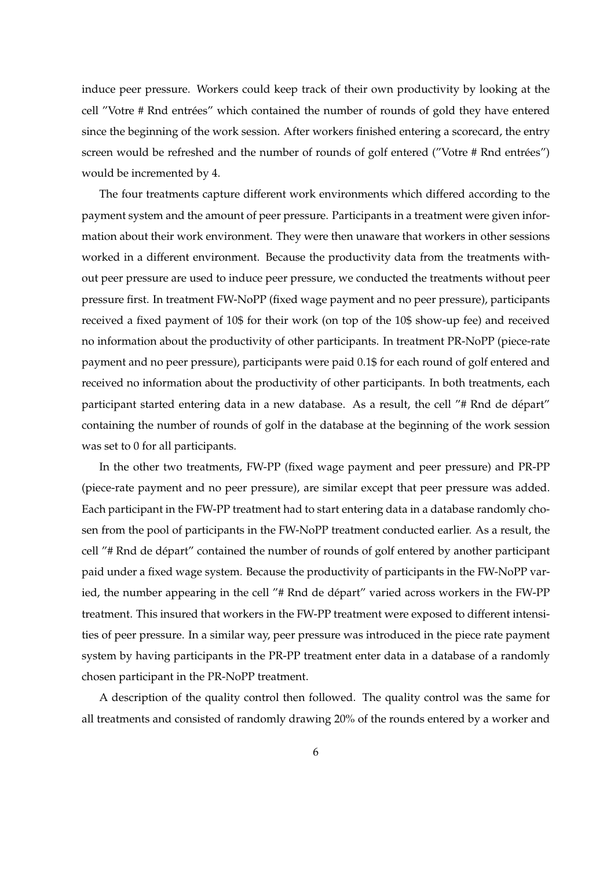induce peer pressure. Workers could keep track of their own productivity by looking at the cell "Votre # Rnd entrées" which contained the number of rounds of gold they have entered since the beginning of the work session. After workers finished entering a scorecard, the entry screen would be refreshed and the number of rounds of golf entered ("Votre # Rnd entrées") would be incremented by 4.

The four treatments capture different work environments which differed according to the payment system and the amount of peer pressure. Participants in a treatment were given information about their work environment. They were then unaware that workers in other sessions worked in a different environment. Because the productivity data from the treatments without peer pressure are used to induce peer pressure, we conducted the treatments without peer pressure first. In treatment FW-NoPP (fixed wage payment and no peer pressure), participants received a fixed payment of 10\$ for their work (on top of the 10\$ show-up fee) and received no information about the productivity of other participants. In treatment PR-NoPP (piece-rate payment and no peer pressure), participants were paid 0.1\$ for each round of golf entered and received no information about the productivity of other participants. In both treatments, each participant started entering data in a new database. As a result, the cell "# Rnd de départ" containing the number of rounds of golf in the database at the beginning of the work session was set to 0 for all participants.

In the other two treatments, FW-PP (fixed wage payment and peer pressure) and PR-PP (piece-rate payment and no peer pressure), are similar except that peer pressure was added. Each participant in the FW-PP treatment had to start entering data in a database randomly chosen from the pool of participants in the FW-NoPP treatment conducted earlier. As a result, the cell "# Rnd de départ" contained the number of rounds of golf entered by another participant paid under a fixed wage system. Because the productivity of participants in the FW-NoPP varied, the number appearing in the cell "# Rnd de départ" varied across workers in the FW-PP treatment. This insured that workers in the FW-PP treatment were exposed to different intensities of peer pressure. In a similar way, peer pressure was introduced in the piece rate payment system by having participants in the PR-PP treatment enter data in a database of a randomly chosen participant in the PR-NoPP treatment.

A description of the quality control then followed. The quality control was the same for all treatments and consisted of randomly drawing 20% of the rounds entered by a worker and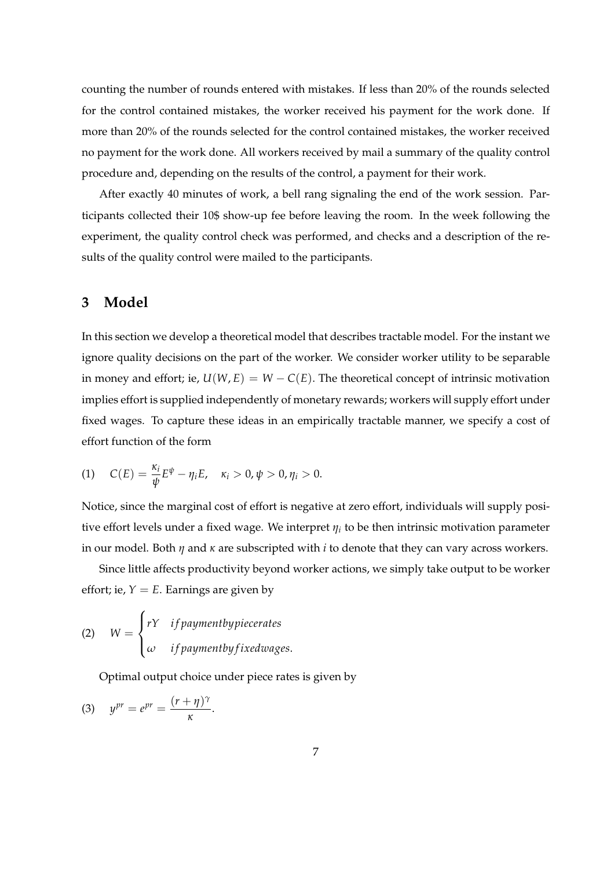counting the number of rounds entered with mistakes. If less than 20% of the rounds selected for the control contained mistakes, the worker received his payment for the work done. If more than 20% of the rounds selected for the control contained mistakes, the worker received no payment for the work done. All workers received by mail a summary of the quality control procedure and, depending on the results of the control, a payment for their work.

After exactly 40 minutes of work, a bell rang signaling the end of the work session. Participants collected their 10\$ show-up fee before leaving the room. In the week following the experiment, the quality control check was performed, and checks and a description of the results of the quality control were mailed to the participants.

## **3 Model**

In this section we develop a theoretical model that describes tractable model. For the instant we ignore quality decisions on the part of the worker. We consider worker utility to be separable in money and effort; ie,  $U(W, E) = W - C(E)$ . The theoretical concept of intrinsic motivation implies effort is supplied independently of monetary rewards; workers will supply effort under fixed wages. To capture these ideas in an empirically tractable manner, we specify a cost of effort function of the form

(1) 
$$
C(E) = \frac{\kappa_i}{\psi} E^{\psi} - \eta_i E, \quad \kappa_i > 0, \psi > 0, \eta_i > 0.
$$

Notice, since the marginal cost of effort is negative at zero effort, individuals will supply positive effort levels under a fixed wage. We interpret *η<sup>i</sup>* to be then intrinsic motivation parameter in our model. Both *η* and *κ* are subscripted with *i* to denote that they can vary across workers.

Since little affects productivity beyond worker actions, we simply take output to be worker effort; ie,  $Y = E$ . Earnings are given by

(2) 
$$
W = \begin{cases} rY & if payment by piecerates \\ \omega & if payment by fixed wages. \end{cases}
$$

Optimal output choice under piece rates is given by

$$
(3) \t ypr = epr = \frac{(r+\eta)^{\gamma}}{\kappa}.
$$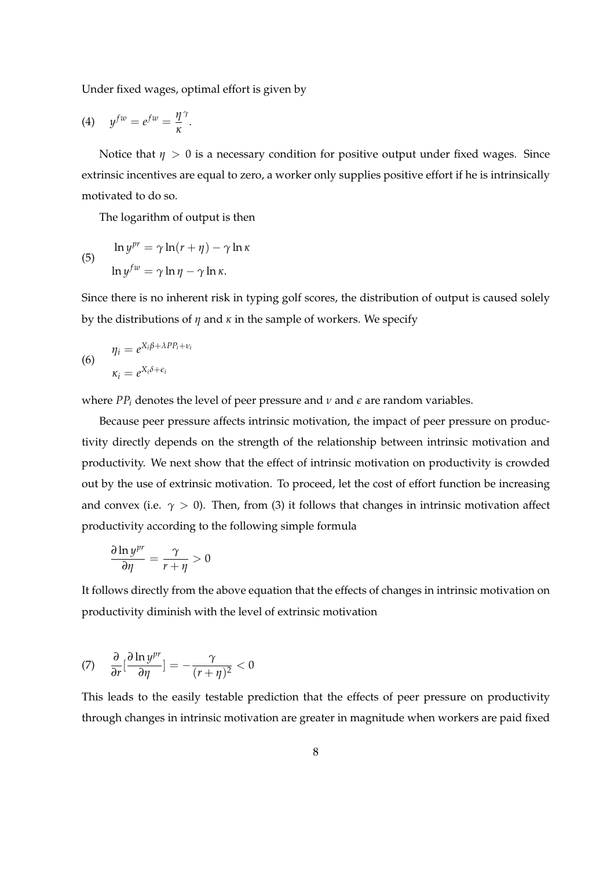Under fixed wages, optimal effort is given by

$$
(4) \t y^{fw} = e^{fw} = \frac{\eta}{\kappa}^{\gamma}.
$$

Notice that  $\eta > 0$  is a necessary condition for positive output under fixed wages. Since extrinsic incentives are equal to zero, a worker only supplies positive effort if he is intrinsically motivated to do so.

The logarithm of output is then

(5) 
$$
\ln y^{pr} = \gamma \ln(r + \eta) - \gamma \ln \kappa
$$

$$
\ln y^{fw} = \gamma \ln \eta - \gamma \ln \kappa.
$$

Since there is no inherent risk in typing golf scores, the distribution of output is caused solely by the distributions of *η* and *κ* in the sample of workers. We specify

(6) 
$$
\eta_i = e^{X_i \beta + \lambda P P_i + v_i}
$$

$$
\kappa_i = e^{X_i \delta + \epsilon_i}
$$

where  $PP_i$  denotes the level of peer pressure and  $\nu$  and  $\epsilon$  are random variables.

Because peer pressure affects intrinsic motivation, the impact of peer pressure on productivity directly depends on the strength of the relationship between intrinsic motivation and productivity. We next show that the effect of intrinsic motivation on productivity is crowded out by the use of extrinsic motivation. To proceed, let the cost of effort function be increasing and convex (i.e.  $\gamma > 0$ ). Then, from (3) it follows that changes in intrinsic motivation affect productivity according to the following simple formula

$$
\frac{\partial \ln y^{pr}}{\partial \eta} = \frac{\gamma}{r + \eta} > 0
$$

It follows directly from the above equation that the effects of changes in intrinsic motivation on productivity diminish with the level of extrinsic motivation

$$
(7) \quad \frac{\partial}{\partial r} \left[ \frac{\partial \ln y^{pr}}{\partial \eta} \right] = -\frac{\gamma}{(r+\eta)^2} < 0
$$

This leads to the easily testable prediction that the effects of peer pressure on productivity through changes in intrinsic motivation are greater in magnitude when workers are paid fixed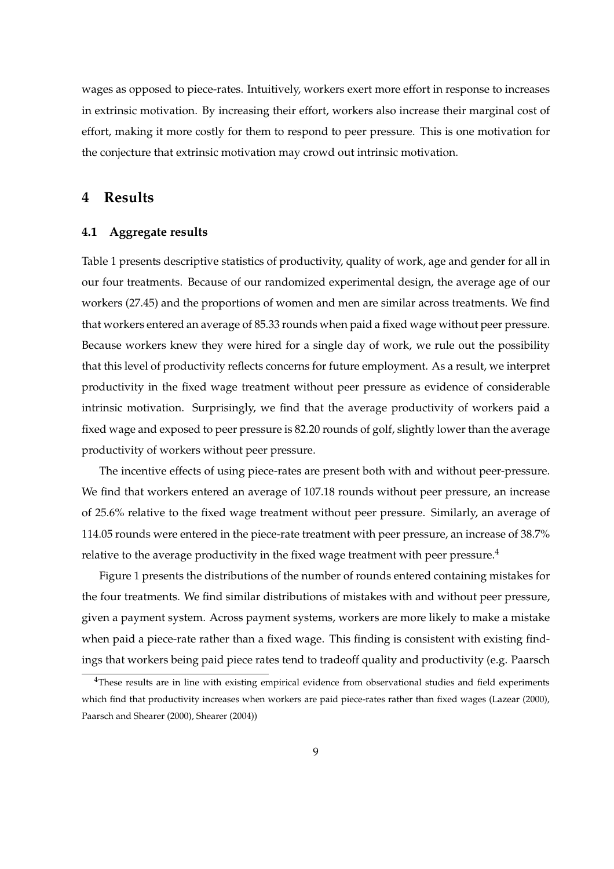wages as opposed to piece-rates. Intuitively, workers exert more effort in response to increases in extrinsic motivation. By increasing their effort, workers also increase their marginal cost of effort, making it more costly for them to respond to peer pressure. This is one motivation for the conjecture that extrinsic motivation may crowd out intrinsic motivation.

## **4 Results**

#### **4.1 Aggregate results**

Table 1 presents descriptive statistics of productivity, quality of work, age and gender for all in our four treatments. Because of our randomized experimental design, the average age of our workers (27.45) and the proportions of women and men are similar across treatments. We find that workers entered an average of 85.33 rounds when paid a fixed wage without peer pressure. Because workers knew they were hired for a single day of work, we rule out the possibility that this level of productivity reflects concerns for future employment. As a result, we interpret productivity in the fixed wage treatment without peer pressure as evidence of considerable intrinsic motivation. Surprisingly, we find that the average productivity of workers paid a fixed wage and exposed to peer pressure is 82.20 rounds of golf, slightly lower than the average productivity of workers without peer pressure.

The incentive effects of using piece-rates are present both with and without peer-pressure. We find that workers entered an average of 107.18 rounds without peer pressure, an increase of 25.6% relative to the fixed wage treatment without peer pressure. Similarly, an average of 114.05 rounds were entered in the piece-rate treatment with peer pressure, an increase of 38.7% relative to the average productivity in the fixed wage treatment with peer pressure.<sup>4</sup>

Figure 1 presents the distributions of the number of rounds entered containing mistakes for the four treatments. We find similar distributions of mistakes with and without peer pressure, given a payment system. Across payment systems, workers are more likely to make a mistake when paid a piece-rate rather than a fixed wage. This finding is consistent with existing findings that workers being paid piece rates tend to tradeoff quality and productivity (e.g. Paarsch

<sup>&</sup>lt;sup>4</sup>These results are in line with existing empirical evidence from observational studies and field experiments which find that productivity increases when workers are paid piece-rates rather than fixed wages (Lazear (2000), Paarsch and Shearer (2000), Shearer (2004))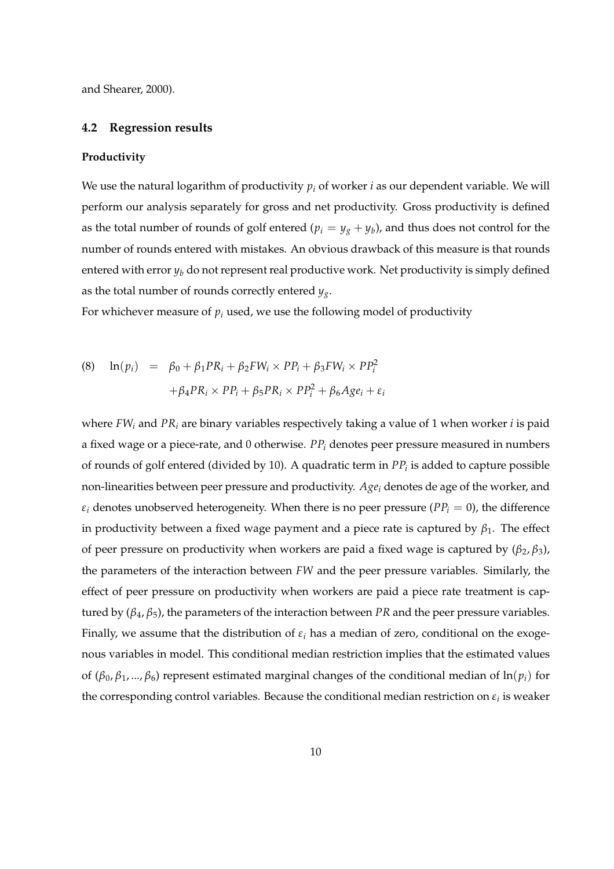and Shearer, 2000).

#### **4.2 Regression results**

#### **Productivity**

We use the natural logarithm of productivity  $p_i$  of worker *i* as our dependent variable. We will perform our analysis separately for gross and net productivity. Gross productivity is defined as the total number of rounds of golf entered ( $p_i = y_g + y_b$ ), and thus does not control for the number of rounds entered with mistakes. An obvious drawback of this measure is that rounds entered with error  $y_b$  do not represent real productive work. Net productivity is simply defined as the total number of rounds correctly entered *yg*.

For whichever measure of  $p_i$  used, we use the following model of productivity

(8) 
$$
\ln(p_i) = \beta_0 + \beta_1 PR_i + \beta_2 FW_i \times PP_i + \beta_3 FW_i \times PP_i^2 + \beta_4 PR_i \times PP_i + \beta_5 PR_i \times PP_i^2 + \beta_6 Age_i + \varepsilon_i
$$

where *FW<sup>i</sup>* and *PR<sup>i</sup>* are binary variables respectively taking a value of 1 when worker *i* is paid a fixed wage or a piece-rate, and 0 otherwise. *PP<sup>i</sup>* denotes peer pressure measured in numbers of rounds of golf entered (divided by 10). A quadratic term in *PP<sup>i</sup>* is added to capture possible non-linearities between peer pressure and productivity. *Age<sup>i</sup>* denotes de age of the worker, and  $\varepsilon_i$  denotes unobserved heterogeneity. When there is no peer pressure ( $PP_i = 0$ ), the difference in productivity between a fixed wage payment and a piece rate is captured by  $\beta_1$ . The effect of peer pressure on productivity when workers are paid a fixed wage is captured by  $(β<sub>2</sub>, β<sub>3</sub>)$ , the parameters of the interaction between *FW* and the peer pressure variables. Similarly, the effect of peer pressure on productivity when workers are paid a piece rate treatment is captured by  $(β<sub>4</sub>, β<sub>5</sub>)$ , the parameters of the interaction between *PR* and the peer pressure variables. Finally, we assume that the distribution of *ε<sup>i</sup>* has a median of zero, conditional on the exogenous variables in model. This conditional median restriction implies that the estimated values of (*β*0, *β*1, ..., *β*6) represent estimated marginal changes of the conditional median of ln(*pi*) for the corresponding control variables. Because the conditional median restriction on  $\varepsilon_i$  is weaker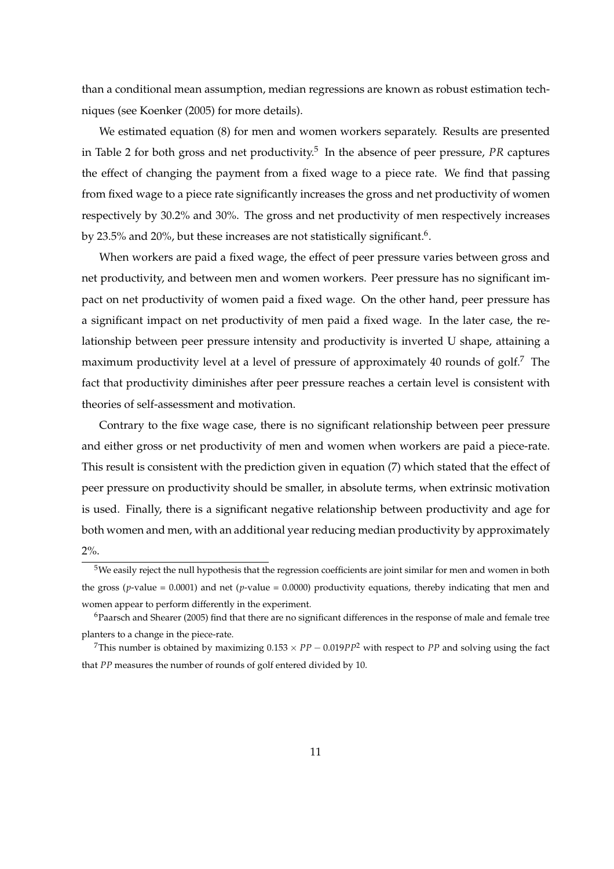than a conditional mean assumption, median regressions are known as robust estimation techniques (see Koenker (2005) for more details).

We estimated equation (8) for men and women workers separately. Results are presented in Table 2 for both gross and net productivity.<sup>5</sup> In the absence of peer pressure, PR captures the effect of changing the payment from a fixed wage to a piece rate. We find that passing from fixed wage to a piece rate significantly increases the gross and net productivity of women respectively by 30.2% and 30%. The gross and net productivity of men respectively increases by 23.5% and 20%, but these increases are not statistically significant.<sup>6</sup>.

When workers are paid a fixed wage, the effect of peer pressure varies between gross and net productivity, and between men and women workers. Peer pressure has no significant impact on net productivity of women paid a fixed wage. On the other hand, peer pressure has a significant impact on net productivity of men paid a fixed wage. In the later case, the relationship between peer pressure intensity and productivity is inverted U shape, attaining a maximum productivity level at a level of pressure of approximately 40 rounds of golf.<sup>7</sup> The fact that productivity diminishes after peer pressure reaches a certain level is consistent with theories of self-assessment and motivation.

Contrary to the fixe wage case, there is no significant relationship between peer pressure and either gross or net productivity of men and women when workers are paid a piece-rate. This result is consistent with the prediction given in equation (7) which stated that the effect of peer pressure on productivity should be smaller, in absolute terms, when extrinsic motivation is used. Finally, there is a significant negative relationship between productivity and age for both women and men, with an additional year reducing median productivity by approximately 2%.

<sup>&</sup>lt;sup>5</sup>We easily reject the null hypothesis that the regression coefficients are joint similar for men and women in both the gross ( $p$ -value = 0.0001) and net ( $p$ -value = 0.0000) productivity equations, thereby indicating that men and women appear to perform differently in the experiment.

 $6P$ aarsch and Shearer (2005) find that there are no significant differences in the response of male and female tree planters to a change in the piece-rate.

<sup>&</sup>lt;sup>7</sup>This number is obtained by maximizing  $0.153 \times PP - 0.019PP^2$  with respect to *PP* and solving using the fact that *PP* measures the number of rounds of golf entered divided by 10.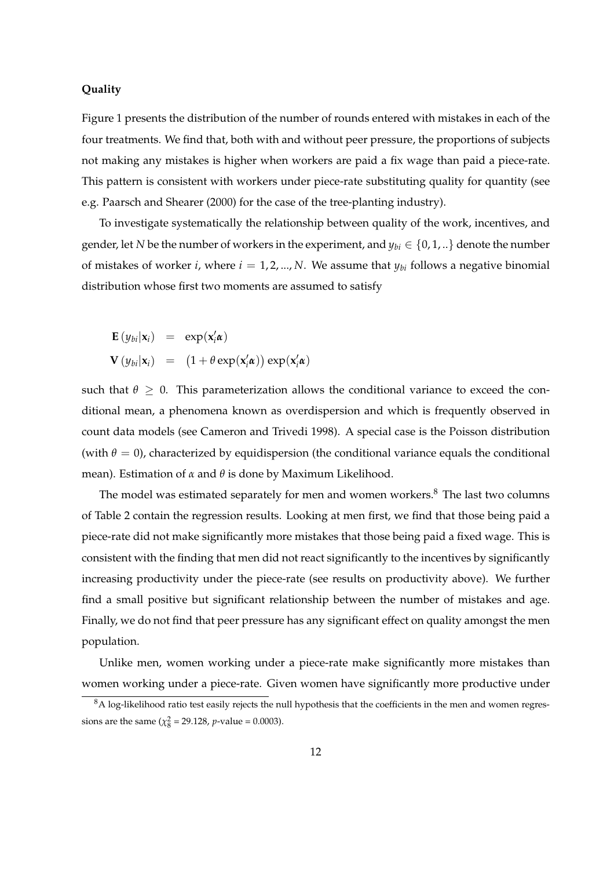#### **Quality**

Figure 1 presents the distribution of the number of rounds entered with mistakes in each of the four treatments. We find that, both with and without peer pressure, the proportions of subjects not making any mistakes is higher when workers are paid a fix wage than paid a piece-rate. This pattern is consistent with workers under piece-rate substituting quality for quantity (see e.g. Paarsch and Shearer (2000) for the case of the tree-planting industry).

To investigate systematically the relationship between quality of the work, incentives, and gender, let *N* be the number of workers in the experiment, and  $y_{bi} \in \{0, 1, ...\}$  denote the number of mistakes of worker *i*, where  $i = 1, 2, ..., N$ . We assume that  $y_{bi}$  follows a negative binomial distribution whose first two moments are assumed to satisfy

**E**  $(y_{bi}|\mathbf{x}_i) = \exp(\mathbf{x}_i'\boldsymbol{\alpha})$  $\mathbf{V} (y_{bi}|\mathbf{x}_i) =$ ¡  $1 + \theta \exp(\mathbf{x}_i^{\prime} \boldsymbol{\alpha})$ ¢  $\exp(\mathbf{x}_i^{\prime} \boldsymbol{\alpha})$ 

such that  $\theta \geq 0$ . This parameterization allows the conditional variance to exceed the conditional mean, a phenomena known as overdispersion and which is frequently observed in count data models (see Cameron and Trivedi 1998). A special case is the Poisson distribution (with  $\theta = 0$ ), characterized by equidispersion (the conditional variance equals the conditional mean). Estimation of *α* and *θ* is done by Maximum Likelihood.

The model was estimated separately for men and women workers. $8$  The last two columns of Table 2 contain the regression results. Looking at men first, we find that those being paid a piece-rate did not make significantly more mistakes that those being paid a fixed wage. This is consistent with the finding that men did not react significantly to the incentives by significantly increasing productivity under the piece-rate (see results on productivity above). We further find a small positive but significant relationship between the number of mistakes and age. Finally, we do not find that peer pressure has any significant effect on quality amongst the men population.

Unlike men, women working under a piece-rate make significantly more mistakes than women working under a piece-rate. Given women have significantly more productive under

 $8A$  log-likelihood ratio test easily rejects the null hypothesis that the coefficients in the men and women regressions are the same ( $\chi^2_8$  = 29.128, *p*-value = 0.0003).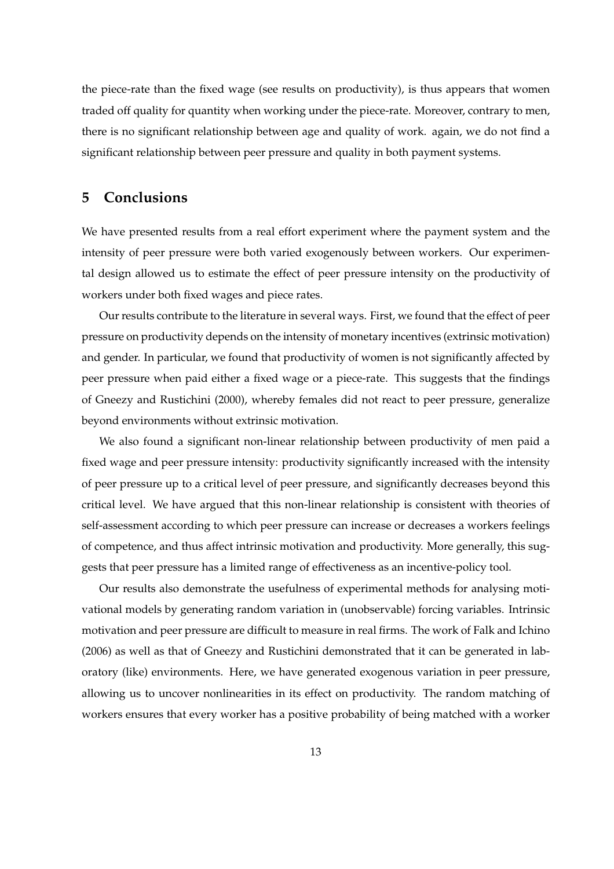the piece-rate than the fixed wage (see results on productivity), is thus appears that women traded off quality for quantity when working under the piece-rate. Moreover, contrary to men, there is no significant relationship between age and quality of work. again, we do not find a significant relationship between peer pressure and quality in both payment systems.

## **5 Conclusions**

We have presented results from a real effort experiment where the payment system and the intensity of peer pressure were both varied exogenously between workers. Our experimental design allowed us to estimate the effect of peer pressure intensity on the productivity of workers under both fixed wages and piece rates.

Our results contribute to the literature in several ways. First, we found that the effect of peer pressure on productivity depends on the intensity of monetary incentives (extrinsic motivation) and gender. In particular, we found that productivity of women is not significantly affected by peer pressure when paid either a fixed wage or a piece-rate. This suggests that the findings of Gneezy and Rustichini (2000), whereby females did not react to peer pressure, generalize beyond environments without extrinsic motivation.

We also found a significant non-linear relationship between productivity of men paid a fixed wage and peer pressure intensity: productivity significantly increased with the intensity of peer pressure up to a critical level of peer pressure, and significantly decreases beyond this critical level. We have argued that this non-linear relationship is consistent with theories of self-assessment according to which peer pressure can increase or decreases a workers feelings of competence, and thus affect intrinsic motivation and productivity. More generally, this suggests that peer pressure has a limited range of effectiveness as an incentive-policy tool.

Our results also demonstrate the usefulness of experimental methods for analysing motivational models by generating random variation in (unobservable) forcing variables. Intrinsic motivation and peer pressure are difficult to measure in real firms. The work of Falk and Ichino (2006) as well as that of Gneezy and Rustichini demonstrated that it can be generated in laboratory (like) environments. Here, we have generated exogenous variation in peer pressure, allowing us to uncover nonlinearities in its effect on productivity. The random matching of workers ensures that every worker has a positive probability of being matched with a worker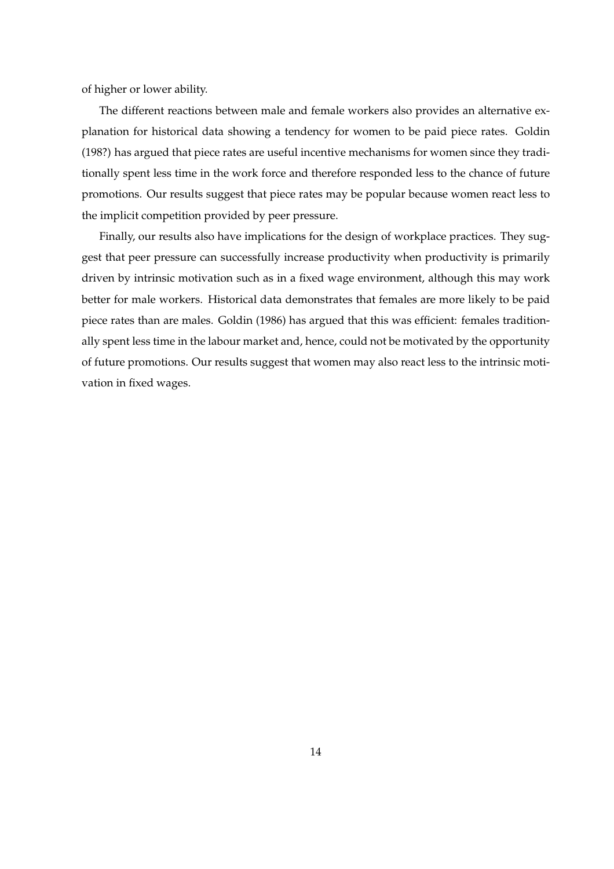of higher or lower ability.

The different reactions between male and female workers also provides an alternative explanation for historical data showing a tendency for women to be paid piece rates. Goldin (198?) has argued that piece rates are useful incentive mechanisms for women since they traditionally spent less time in the work force and therefore responded less to the chance of future promotions. Our results suggest that piece rates may be popular because women react less to the implicit competition provided by peer pressure.

Finally, our results also have implications for the design of workplace practices. They suggest that peer pressure can successfully increase productivity when productivity is primarily driven by intrinsic motivation such as in a fixed wage environment, although this may work better for male workers. Historical data demonstrates that females are more likely to be paid piece rates than are males. Goldin (1986) has argued that this was efficient: females traditionally spent less time in the labour market and, hence, could not be motivated by the opportunity of future promotions. Our results suggest that women may also react less to the intrinsic motivation in fixed wages.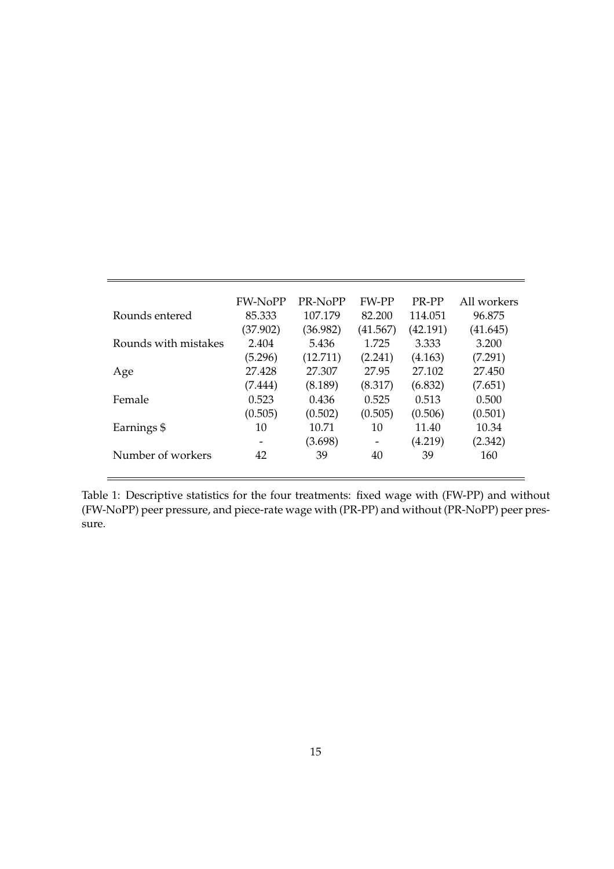|                      | <b>FW-NoPP</b> | PR-NoPP  | <b>FW-PP</b>             | PR-PP    | All workers |
|----------------------|----------------|----------|--------------------------|----------|-------------|
| Rounds entered       | 85.333         | 107.179  | 82.200                   | 114.051  | 96.875      |
|                      | (37.902)       | (36.982) | (41.567)                 | (42.191) | (41.645)    |
| Rounds with mistakes | 2.404          | 5.436    | 1.725                    | 3.333    | 3.200       |
|                      | (5.296)        | (12.711) | (2.241)                  | (4.163)  | (7.291)     |
| Age                  | 27.428         | 27.307   | 27.95                    | 27.102   | 27.450      |
|                      | (7.444)        | (8.189)  | (8.317)                  | (6.832)  | (7.651)     |
| Female               | 0.523          | 0.436    | 0.525                    | 0.513    | 0.500       |
|                      | (0.505)        | (0.502)  | (0.505)                  | (0.506)  | (0.501)     |
| Earnings \$          | 10             | 10.71    | 10                       | 11.40    | 10.34       |
|                      | -              | (3.698)  | $\overline{\phantom{a}}$ | (4.219)  | (2.342)     |
| Number of workers    | 42             | 39       | 40                       | 39       | 160         |

Table 1: Descriptive statistics for the four treatments: fixed wage with (FW-PP) and without (FW-NoPP) peer pressure, and piece-rate wage with (PR-PP) and without (PR-NoPP) peer pressure.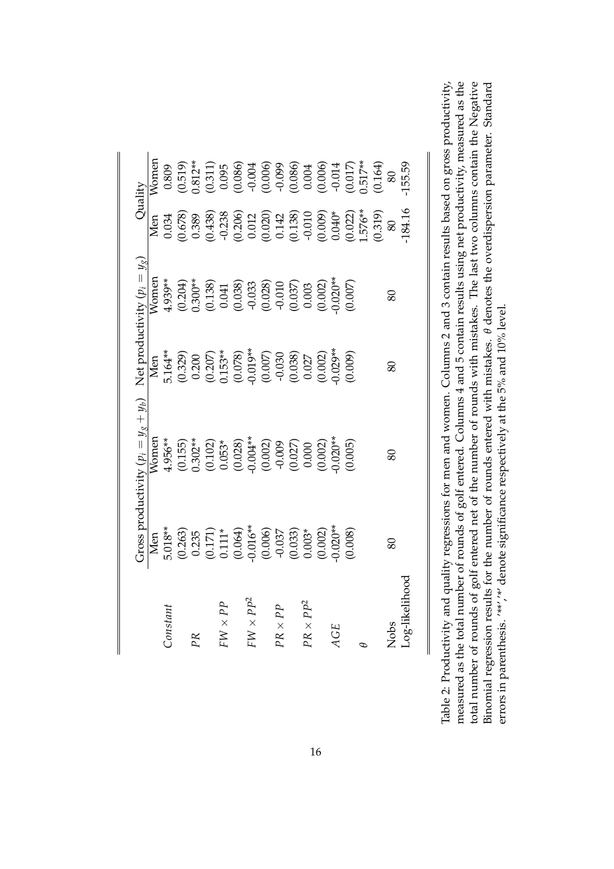|                           |                                                                                                                          | Fross productivity $(p_i = y_g + y_b)$                                                                                                                                                                                                                                                                                    |                                                                                                     | Net productivity $(p_i = y_g)$                                                                                                                                                                                                                                                                                                                                                                                | Quality                                                                                                                                                                                                                                                                                             |                                                                                                                                                                                                                                                                                                     |
|---------------------------|--------------------------------------------------------------------------------------------------------------------------|---------------------------------------------------------------------------------------------------------------------------------------------------------------------------------------------------------------------------------------------------------------------------------------------------------------------------|-----------------------------------------------------------------------------------------------------|---------------------------------------------------------------------------------------------------------------------------------------------------------------------------------------------------------------------------------------------------------------------------------------------------------------------------------------------------------------------------------------------------------------|-----------------------------------------------------------------------------------------------------------------------------------------------------------------------------------------------------------------------------------------------------------------------------------------------------|-----------------------------------------------------------------------------------------------------------------------------------------------------------------------------------------------------------------------------------------------------------------------------------------------------|
|                           |                                                                                                                          | <b>Nomen</b>                                                                                                                                                                                                                                                                                                              |                                                                                                     |                                                                                                                                                                                                                                                                                                                                                                                                               | Men                                                                                                                                                                                                                                                                                                 | Womer                                                                                                                                                                                                                                                                                               |
| <i>constant</i>           |                                                                                                                          |                                                                                                                                                                                                                                                                                                                           |                                                                                                     |                                                                                                                                                                                                                                                                                                                                                                                                               |                                                                                                                                                                                                                                                                                                     |                                                                                                                                                                                                                                                                                                     |
|                           |                                                                                                                          |                                                                                                                                                                                                                                                                                                                           |                                                                                                     |                                                                                                                                                                                                                                                                                                                                                                                                               |                                                                                                                                                                                                                                                                                                     |                                                                                                                                                                                                                                                                                                     |
| PR                        |                                                                                                                          |                                                                                                                                                                                                                                                                                                                           |                                                                                                     |                                                                                                                                                                                                                                                                                                                                                                                                               |                                                                                                                                                                                                                                                                                                     |                                                                                                                                                                                                                                                                                                     |
|                           | Men<br>5.018**<br>5.018**<br>(0.255<br>(0.171)<br>(0.006)<br>(0.006)<br>(0.007)<br>(0.0020**<br>(0.0020**)<br>(0.0020**) | $\begin{array}{l} 4.956^{**} \\ (0.155) \\ (0.302^{**} \\ (0.102) \\ (0.003^* \\ (0.003^*) \\ (0.004^{**} \\ (0.002) \\ (0.000) \\ (0.000) \\ (0.000) \\ (0.000) \\ (0.000) \\ (0.005) \\ (0.005) \\ (0.005) \\ (0.005) \\ (0.005) \\ (0.005) \\ (0.005) \\ (0.007) \\ (0.008) \\ (0.007) \\ (0.008) \\ (0.007) \\ (0.00$ | Men<br>5.164**<br>5.164**<br>0.200<br>0.207<br>0.207<br>0.007<br>0.009<br>0.009<br>0.0027<br>0.0027 | $\begin{array}{l} \text{V} \text{ord} \\ \text{V} \text{ord} \\ \text{L} \text{4.939}^{**} \\ \text{L} \text{200}^{**} \\ \text{L} \text{200}^{**} \\ \text{L} \text{200}^{**} \\ \text{L} \text{200}^{**} \\ \text{L} \text{200}^{**} \\ \text{L} \text{200}^{**} \\ \text{L} \text{200} \\ \text{L} \text{200} \\ \text{L} \text{200} \\ \text{L} \text{200} \\ \text{L} \text{200} \\ \text{L} \text{200}$ | $\begin{array}{l} 0.034 \\ 0.678 \\ 0.438 \\ 0.206 \\ 0.012 \\ 0.012 \\ 0.014 \\ 0.009 \\ 0.000 \\ 0.000 \\ 0.000 \\ 0.000 \\ 0.000 \\ 0.000 \\ 0.000 \\ 0.000 \\ 0.001 \\ 0.000 \\ 0.001 \\ 0.000 \\ 0.001 \\ 0.000 \\ 0.001 \\ 0.000 \\ 0.001 \\ 0.000 \\ 0.001 \\ 0.000 \\ 0.001 \\ 0.000 \\ 0.$ | $\begin{array}{c} 0.809 \\ 0.519 \\ 0.311 \\ 0.095 \\ 0.006 \\ 0.006 \\ 0.006 \\ 0.007 \\ 0.007 \\ 0.008 \\ 0.007 \\ 0.007 \\ 0.007 \\ 0.008 \\ 0.004 \\ 0.007 \\ 0.007 \\ 0.004 \\ 0.007 \\ 0.004 \\ 0.007 \\ 0.004 \\ 0.007 \\ 0.004 \\ 0.007 \\ 0.004 \\ 0.007 \\ 0.004 \\ 0.007 \\ 0.007 \\ 0.$ |
| $dd \times M$             |                                                                                                                          |                                                                                                                                                                                                                                                                                                                           |                                                                                                     |                                                                                                                                                                                                                                                                                                                                                                                                               |                                                                                                                                                                                                                                                                                                     |                                                                                                                                                                                                                                                                                                     |
|                           |                                                                                                                          |                                                                                                                                                                                                                                                                                                                           |                                                                                                     |                                                                                                                                                                                                                                                                                                                                                                                                               |                                                                                                                                                                                                                                                                                                     |                                                                                                                                                                                                                                                                                                     |
| $FW \times PP^2$          |                                                                                                                          |                                                                                                                                                                                                                                                                                                                           |                                                                                                     |                                                                                                                                                                                                                                                                                                                                                                                                               |                                                                                                                                                                                                                                                                                                     |                                                                                                                                                                                                                                                                                                     |
|                           |                                                                                                                          |                                                                                                                                                                                                                                                                                                                           |                                                                                                     |                                                                                                                                                                                                                                                                                                                                                                                                               |                                                                                                                                                                                                                                                                                                     |                                                                                                                                                                                                                                                                                                     |
| $d\, \times \, X_{\rm C}$ |                                                                                                                          |                                                                                                                                                                                                                                                                                                                           |                                                                                                     |                                                                                                                                                                                                                                                                                                                                                                                                               |                                                                                                                                                                                                                                                                                                     |                                                                                                                                                                                                                                                                                                     |
|                           |                                                                                                                          |                                                                                                                                                                                                                                                                                                                           |                                                                                                     |                                                                                                                                                                                                                                                                                                                                                                                                               |                                                                                                                                                                                                                                                                                                     |                                                                                                                                                                                                                                                                                                     |
| $PR \times PP^2$          |                                                                                                                          |                                                                                                                                                                                                                                                                                                                           |                                                                                                     |                                                                                                                                                                                                                                                                                                                                                                                                               |                                                                                                                                                                                                                                                                                                     |                                                                                                                                                                                                                                                                                                     |
|                           |                                                                                                                          |                                                                                                                                                                                                                                                                                                                           |                                                                                                     |                                                                                                                                                                                                                                                                                                                                                                                                               |                                                                                                                                                                                                                                                                                                     |                                                                                                                                                                                                                                                                                                     |
| <b>AGE</b>                |                                                                                                                          |                                                                                                                                                                                                                                                                                                                           |                                                                                                     |                                                                                                                                                                                                                                                                                                                                                                                                               |                                                                                                                                                                                                                                                                                                     |                                                                                                                                                                                                                                                                                                     |
|                           |                                                                                                                          |                                                                                                                                                                                                                                                                                                                           |                                                                                                     |                                                                                                                                                                                                                                                                                                                                                                                                               |                                                                                                                                                                                                                                                                                                     |                                                                                                                                                                                                                                                                                                     |
|                           |                                                                                                                          |                                                                                                                                                                                                                                                                                                                           |                                                                                                     |                                                                                                                                                                                                                                                                                                                                                                                                               |                                                                                                                                                                                                                                                                                                     |                                                                                                                                                                                                                                                                                                     |
|                           |                                                                                                                          |                                                                                                                                                                                                                                                                                                                           |                                                                                                     |                                                                                                                                                                                                                                                                                                                                                                                                               |                                                                                                                                                                                                                                                                                                     |                                                                                                                                                                                                                                                                                                     |
|                           | $80^{\circ}$                                                                                                             | 80                                                                                                                                                                                                                                                                                                                        | $\infty$                                                                                            | $\infty$                                                                                                                                                                                                                                                                                                                                                                                                      |                                                                                                                                                                                                                                                                                                     |                                                                                                                                                                                                                                                                                                     |
| .og-likelihood            |                                                                                                                          |                                                                                                                                                                                                                                                                                                                           |                                                                                                     |                                                                                                                                                                                                                                                                                                                                                                                                               |                                                                                                                                                                                                                                                                                                     |                                                                                                                                                                                                                                                                                                     |
|                           |                                                                                                                          |                                                                                                                                                                                                                                                                                                                           |                                                                                                     |                                                                                                                                                                                                                                                                                                                                                                                                               |                                                                                                                                                                                                                                                                                                     |                                                                                                                                                                                                                                                                                                     |

measured as the total number of rounds of golf entered. Columns 4 and 5 contain results using net productivity, measured as the total number of rounds of golf entered net of the number of rounds with mistakes. The last two columns contain the Negative Table 2: Productivity and quality regressions for men and women. Columns 2 and 3 contain results based on gross productivity, Binomial regression results for the number of rounds entered with mistakes.  $\theta$  denotes the overdispersion parameter. Standard Table 2: Productivity and quality regressions for men and women. Columns 2 and 3 contain results based on gross productivity, measured as the total number of rounds of golf entered. Columns 4 and 5 contain results using net productivity, measured as the total number of rounds of golf entered net of the number of rounds with mistakes. The last two columns contain the Negative Binomial regression results for the number of rounds entered with mistakes. *θ* denotes the overdispersion parameter. Standard errors in parenthesis. '\*\*'/\*' denote significance respectively at the 5% and 10% level. errors in parenthesis. '\*\*','\*' denote significance respectively at the 5% and 10% level.

 $\parallel$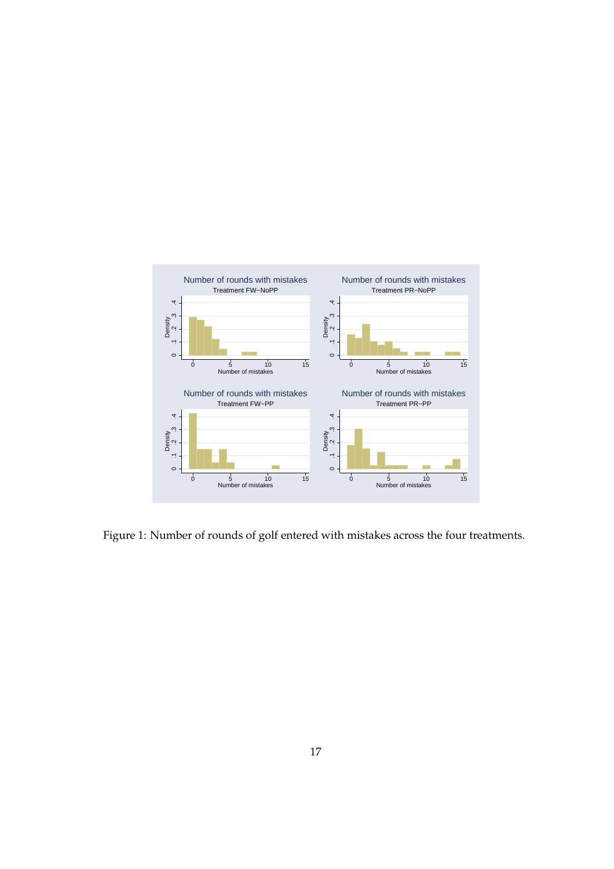

Figure 1: Number of rounds of golf entered with mistakes across the four treatments.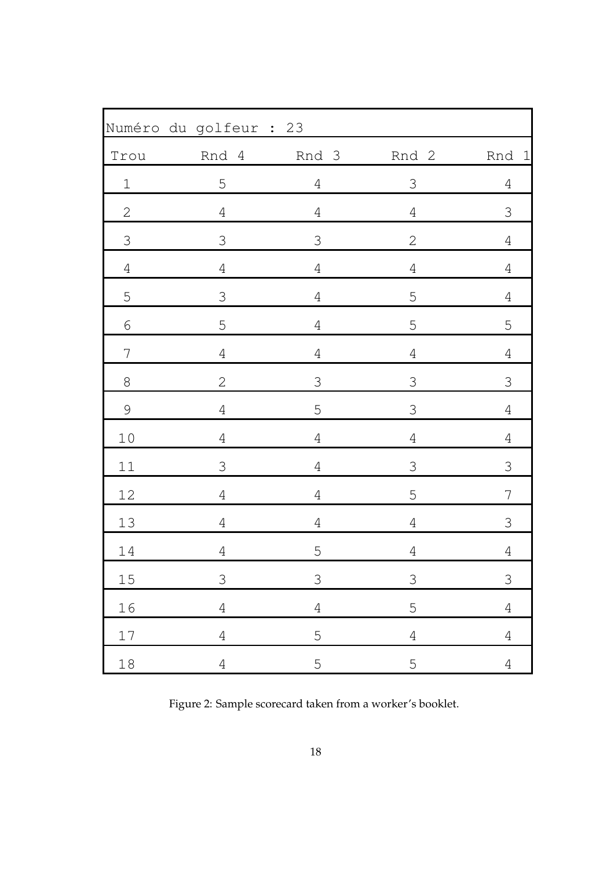|                | Numéro du golfeur : 23 |                |                |                |
|----------------|------------------------|----------------|----------------|----------------|
| Trou           | Rnd 4                  | Rnd 3          | Rnd 2          | Rnd 1          |
| $\mathbf 1$    | 5                      | $\overline{4}$ | $\mathfrak{Z}$ | $\overline{4}$ |
| $\sqrt{2}$     | $\sqrt{4}$             | $\overline{4}$ | $\sqrt{4}$     | $\mathfrak{Z}$ |
| $\mathfrak{Z}$ | 3                      | 3              | $\mathbf 2$    | $\overline{4}$ |
| $\sqrt{4}$     | $\sqrt{4}$             | $\sqrt{4}$     | $\sqrt{4}$     | $\sqrt{4}$     |
| 5              | $\mathfrak S$          | $\sqrt{4}$     | 5              | $\overline{4}$ |
| 6              | 5                      | $\overline{4}$ | 5              | 5              |
| $\overline{7}$ | $\sqrt{4}$             | $\overline{4}$ | $\overline{4}$ | $\overline{4}$ |
| $\,8\,$        | $\overline{2}$         | $\mathfrak S$  | $\mathfrak{Z}$ | $\mathfrak S$  |
| $\mathcal{G}$  | $\sqrt{4}$             | $\mathsf S$    | $\mathfrak{Z}$ | $\sqrt{4}$     |
| $10$           | $\overline{4}$         | $\overline{4}$ | $\overline{4}$ | $\sqrt{4}$     |
| $11\,$         | $\mathfrak S$          | $\sqrt{4}$     | $\Im$          | $\mathfrak{Z}$ |
| $12$           | $\overline{4}$         | $\overline{4}$ | 5              | $\overline{7}$ |
| $13$           | $\overline{4}$         | $\overline{4}$ | $\sqrt{4}$     | 3              |
| $14\,$         | $\overline{4}$         | 5              | $\overline{4}$ | $\overline{4}$ |
| $15\,$         | 3                      | $\mathfrak S$  | $\mathfrak{Z}$ | $\mathfrak{Z}$ |
| 16             | $\overline{4}$         | $\overline{4}$ | 5              | $\overline{4}$ |
| $17\,$         | $\overline{4}$         | 5              | $\overline{4}$ | $\overline{4}$ |
| $18\,$         | $\overline{4}$         | 5              | 5              | $\overline{4}$ |

Figure 2: Sample scorecard taken from a worker's booklet.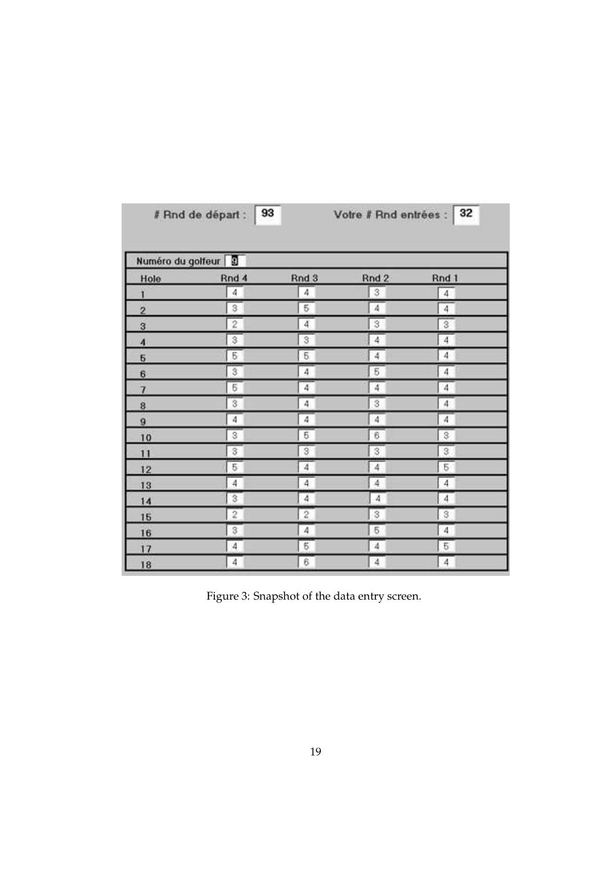|                     | 93<br># Rnd de départ :  |                         | Votre # Rnd entrées : | 32                      |
|---------------------|--------------------------|-------------------------|-----------------------|-------------------------|
|                     | Numéro du golfeur        |                         |                       |                         |
| Hole                | Rnd 4                    | Rnd 3                   | Rnd 2                 | Rnd 1                   |
| 1                   | $\overline{\mathcal{A}}$ | 4                       | 3                     | $4$                     |
| $\overline{2}$      | $\sqrt{3}$               | 5                       | 4                     | $\frac{1}{4}$           |
| 3                   | $\overline{2}$           | $\overline{4}$          | 3                     | $\overline{\mathbf{3}}$ |
| $\overline{\bf{4}}$ | $\overline{\mathcal{S}}$ | $\overline{\mathbf{3}}$ | 4                     | $\overline{4}$          |
| 5                   | $\overline{5}$           | $\overline{5}$          | $\overline{4}$        | $\overline{4}$          |
| 6                   | 3                        | $\overline{4}$          | 5                     | $\overline{4}$          |
| $\overline{7}$      | $\overline{6}$           | $\overline{4}$          | 4                     | $\overline{4}$          |
| 8                   | $\overline{\mathbf{3}}$  | 4                       | 3                     | $\overline{4}$          |
| 9                   | 4                        | 4                       | 4                     | 4                       |
| 10                  | 3                        | 5                       | 6                     | $\mathbf 3$             |
| 11                  | 3                        | S.                      | 3                     | $\overline{3}$          |
| 12                  | 5                        | $\overline{4}$          | 4                     | 5                       |
| 13                  | $\overline{4}$           | 4                       | 4                     | $\overline{4}$          |
| 14                  | 3                        | 4                       | $\boldsymbol{A}$      | 4                       |
| 15                  | $\overline{2}$           | $\overline{c}$          | 3                     | $\overline{\mathbf{3}}$ |
| 16                  | 3                        | $\hat{\Phi}$            | 5                     | $4^{\circ}$             |
| 17                  | 4                        | 5                       | 4                     | 5                       |
| 18                  | 4                        | 6                       | 4                     | $\overline{4}$          |

Figure 3: Snapshot of the data entry screen.